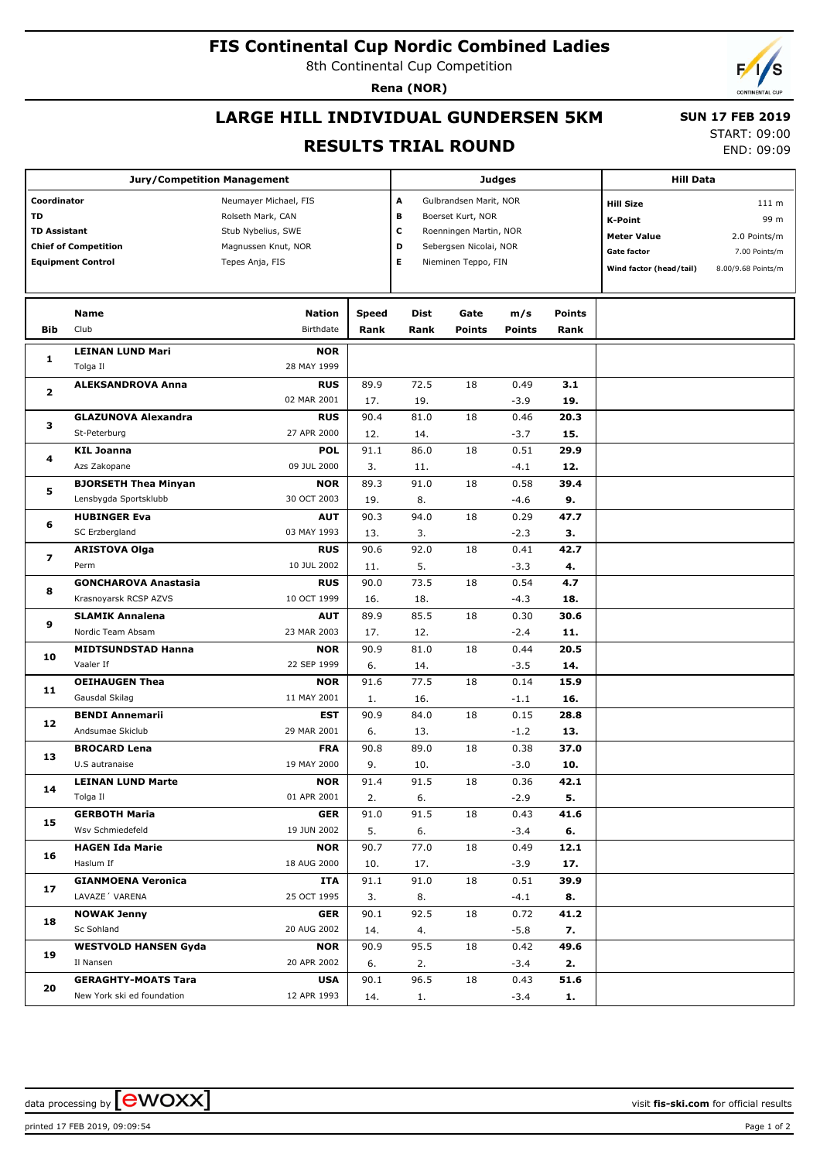# **FIS Continental Cup Nordic Combined Ladies**

8th Continental Cup Competition

**Rena (NOR)**

# **LARGE HILL INDIVIDUAL GUNDERSEN 5KM**

 **SUN 17 FEB 2019** START: 09:00

### **RESULTS TRIAL ROUND**

END: 09:09

|                             | <b>Jury/Competition Management</b>                       |                           |              | <b>Judges</b>          | <b>Hill Data</b>       |                  |               |                         |                    |
|-----------------------------|----------------------------------------------------------|---------------------------|--------------|------------------------|------------------------|------------------|---------------|-------------------------|--------------------|
| Coordinator                 |                                                          | Neumayer Michael, FIS     | А            | Gulbrandsen Marit, NOR |                        | <b>Hill Size</b> | 111 m         |                         |                    |
| TD                          |                                                          | Rolseth Mark, CAN         |              | B                      | Boerset Kurt, NOR      |                  |               | <b>K-Point</b>          | 99 m               |
| <b>TD Assistant</b>         |                                                          | Stub Nybelius, SWE        | c            | Roenningen Martin, NOR |                        |                  |               |                         |                    |
| <b>Chief of Competition</b> |                                                          | Magnussen Knut, NOR       |              | D                      | Sebergsen Nicolai, NOR |                  |               | <b>Meter Value</b>      | 2.0 Points/m       |
|                             | <b>Equipment Control</b>                                 | Tepes Anja, FIS           |              | Е                      | Nieminen Teppo, FIN    |                  |               | <b>Gate factor</b>      | 7.00 Points/m      |
|                             |                                                          |                           |              |                        |                        |                  |               | Wind factor (head/tail) | 8.00/9.68 Points/m |
|                             |                                                          |                           |              |                        |                        |                  |               |                         |                    |
|                             | Name                                                     | <b>Nation</b>             | <b>Speed</b> | Dist                   | Gate                   | m/s              | <b>Points</b> |                         |                    |
| Bib                         | Club                                                     | Birthdate                 | Rank         | Rank                   | <b>Points</b>          | <b>Points</b>    | Rank          |                         |                    |
|                             |                                                          |                           |              |                        |                        |                  |               |                         |                    |
| 1                           | <b>LEINAN LUND Mari</b>                                  | <b>NOR</b>                |              |                        |                        |                  |               |                         |                    |
|                             | Tolga Il                                                 | 28 MAY 1999               |              |                        |                        |                  |               |                         |                    |
| 2                           | <b>ALEKSANDROVA Anna</b>                                 | <b>RUS</b>                | 89.9         | 72.5                   | 18                     | 0.49             | 3.1           |                         |                    |
|                             |                                                          | 02 MAR 2001               | 17.          | 19.                    |                        | $-3.9$           | 19.           |                         |                    |
| з                           | <b>GLAZUNOVA Alexandra</b>                               | <b>RUS</b>                | 90.4         | 81.0                   | 18                     | 0.46             | 20.3          |                         |                    |
|                             | St-Peterburg                                             | 27 APR 2000               | 12.          | 14.                    |                        | $-3.7$           | 15.           |                         |                    |
| 4                           | <b>KIL Joanna</b>                                        | <b>POL</b>                | 91.1         | 86.0                   | 18                     | 0.51             | 29.9          |                         |                    |
|                             | Azs Zakopane                                             | 09 JUL 2000               | 3.           | 11.                    |                        | $-4.1$           | 12.           |                         |                    |
| 5                           | <b>BJORSETH Thea Minyan</b>                              | <b>NOR</b>                | 89.3         | 91.0                   | 18                     | 0.58             | 39.4          |                         |                    |
|                             | Lensbygda Sportsklubb                                    | 30 OCT 2003               | 19.          | 8.                     |                        | -4.6             | 9.            |                         |                    |
| 6                           | <b>HUBINGER Eva</b>                                      | <b>AUT</b>                | 90.3         | 94.0                   | 18                     | 0.29             | 47.7          |                         |                    |
|                             | SC Erzbergland                                           | 03 MAY 1993               | 13.          | 3.                     |                        | $-2.3$           | 3.            |                         |                    |
| 7                           | <b>ARISTOVA Olga</b>                                     | <b>RUS</b>                | 90.6         | 92.0                   | 18                     | 0.41             | 42.7          |                         |                    |
|                             | Perm                                                     | 10 JUL 2002               | 11.          | 5.                     |                        | $-3.3$           | 4.            |                         |                    |
|                             | <b>GONCHAROVA Anastasia</b>                              | <b>RUS</b>                | 90.0         | 73.5                   | 18                     | 0.54             | 4.7           |                         |                    |
| 8                           | Krasnoyarsk RCSP AZVS                                    | 10 OCT 1999               | 16.          | 18.                    |                        | $-4.3$           | 18.           |                         |                    |
|                             | <b>SLAMIK Annalena</b>                                   | <b>AUT</b>                | 89.9         | 85.5                   | 18                     | 0.30             | 30.6          |                         |                    |
| 9                           | Nordic Team Absam                                        | 23 MAR 2003               | 17.          | 12.                    |                        | $-2.4$           | 11.           |                         |                    |
|                             | <b>MIDTSUNDSTAD Hanna</b>                                | <b>NOR</b>                | 90.9         | 81.0                   | 18                     | 0.44             | 20.5          |                         |                    |
| 10                          | Vaaler If                                                | 22 SEP 1999               | 6.           | 14.                    |                        | $-3.5$           | 14.           |                         |                    |
|                             | <b>OEIHAUGEN Thea</b>                                    | <b>NOR</b>                | 91.6         | 77.5                   | 18                     | 0.14             | 15.9          |                         |                    |
| 11                          | Gausdal Skilag                                           | 11 MAY 2001               | 1.           | 16.                    |                        | $-1.1$           | 16.           |                         |                    |
|                             | <b>BENDI Annemarii</b>                                   | <b>EST</b>                | 90.9         | 84.0                   | 18                     | 0.15             | 28.8          |                         |                    |
| 12                          | Andsumae Skiclub                                         | 29 MAR 2001               | 6.           | 13.                    |                        | $-1.2$           | 13.           |                         |                    |
|                             | <b>BROCARD Lena</b>                                      | <b>FRA</b>                | 90.8         | 89.0                   | 18                     | 0.38             | 37.0          |                         |                    |
| 13                          | U.S autranaise                                           | 19 MAY 2000               | 9.           | 10.                    |                        | $-3.0$           | 10.           |                         |                    |
|                             | <b>LEINAN LUND Marte</b>                                 | <b>NOR</b>                | 91.4         | 91.5                   | 18                     | 0.36             | 42.1          |                         |                    |
| 14                          | Tolga Il                                                 | 01 APR 2001               | 2.           | 6.                     |                        | $-2.9$           | 5.            |                         |                    |
|                             | <b>GERBOTH Maria</b>                                     | <b>GER</b>                | 91.0         | 91.5                   | 18                     | 0.43             | 41.6          |                         |                    |
| 15                          | Wsv Schmiedefeld                                         | 19 JUN 2002               | 5.           | 6.                     |                        | $-3.4$           | 6.            |                         |                    |
|                             | <b>HAGEN Ida Marie</b>                                   | <b>NOR</b>                | 90.7         | 77.0                   | 18                     | 0.49             | 12.1          |                         |                    |
| 16                          | Haslum If                                                | 18 AUG 2000               | 10.          | 17.                    |                        | $-3.9$           | 17.           |                         |                    |
| 17                          | <b>GIANMOENA Veronica</b>                                | <b>ITA</b>                | 91.1         | 91.0                   | 18                     | 0.51             | 39.9          |                         |                    |
|                             | LAVAZE 'VARENA                                           | 25 OCT 1995               | 3.           |                        |                        |                  | 8.            |                         |                    |
| 18                          | <b>NOWAK Jenny</b>                                       | <b>GER</b>                | 90.1         | 8.<br>92.5             | 18                     | $-4.1$<br>0.72   | 41.2          |                         |                    |
|                             | Sc Sohland                                               | 20 AUG 2002               |              |                        |                        |                  | 7.            |                         |                    |
|                             |                                                          |                           | 14.          | 4.                     |                        | $-5.8$           |               |                         |                    |
| 19                          | <b>WESTVOLD HANSEN Gyda</b><br>Il Nansen                 | <b>NOR</b><br>20 APR 2002 | 90.9         | 95.5                   | 18                     | 0.42             | 49.6          |                         |                    |
|                             |                                                          |                           | 6.           | 2.                     |                        | $-3.4$           | 2.            |                         |                    |
| 20                          | <b>GERAGHTY-MOATS Tara</b><br>New York ski ed foundation | <b>USA</b><br>12 APR 1993 | 90.1         | 96.5                   | 18                     | 0.43             | 51.6          |                         |                    |
|                             |                                                          |                           | 14.          | 1.                     |                        | $-3.4$           | 1.            |                         |                    |